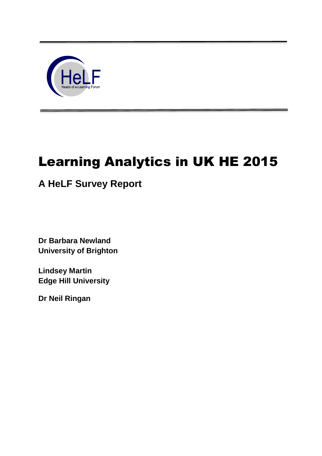

# Learning Analytics in UK HE 2015

# **A HeLF Survey Report**

**Dr Barbara Newland University of Brighton**

**Lindsey Martin Edge Hill University**

**Dr Neil Ringan**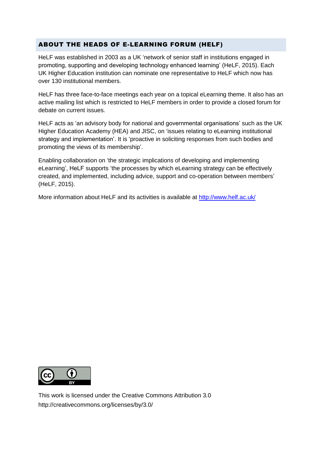# ABOUT THE HEADS OF E-LEARNING FORUM (HELF)

HeLF was established in 2003 as a UK 'network of senior staff in institutions engaged in promoting, supporting and developing technology enhanced learning' (HeLF, 2015). Each UK Higher Education institution can nominate one representative to HeLF which now has over 130 institutional members.

HeLF has three face-to-face meetings each year on a topical eLearning theme. It also has an active mailing list which is restricted to HeLF members in order to provide a closed forum for debate on current issues.

HeLF acts as 'an advisory body for national and governmental organisations' such as the UK Higher Education Academy (HEA) and JISC, on 'issues relating to eLearning institutional strategy and implementation'. It is 'proactive in soliciting responses from such bodies and promoting the views of its membership'.

Enabling collaboration on 'the strategic implications of developing and implementing eLearning', HeLF supports 'the processes by which eLearning strategy can be effectively created, and implemented, including advice, support and co-operation between members' (HeLF, 2015).

More information about HeLF and its activities is available at <http://www.helf.ac.uk/>



This work is licensed under the Creative Commons Attribution 3.0 http://creativecommons.org/licenses/by/3.0/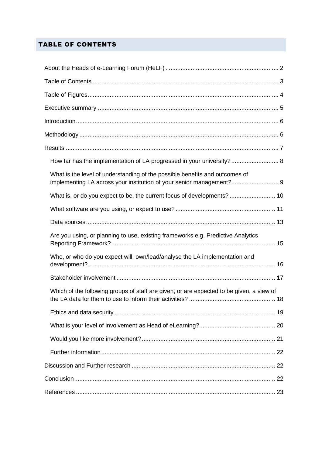# TABLE OF CONTENTS

| How far has the implementation of LA progressed in your university? 8                                                                               |  |
|-----------------------------------------------------------------------------------------------------------------------------------------------------|--|
| What is the level of understanding of the possible benefits and outcomes of<br>implementing LA across your institution of your senior management? 9 |  |
| What is, or do you expect to be, the current focus of developments?  10                                                                             |  |
|                                                                                                                                                     |  |
|                                                                                                                                                     |  |
| Are you using, or planning to use, existing frameworks e.g. Predictive Analytics                                                                    |  |
| Who, or who do you expect will, own/lead/analyse the LA implementation and                                                                          |  |
|                                                                                                                                                     |  |
| Which of the following groups of staff are given, or are expected to be given, a view of                                                            |  |
|                                                                                                                                                     |  |
|                                                                                                                                                     |  |
|                                                                                                                                                     |  |
|                                                                                                                                                     |  |
|                                                                                                                                                     |  |
|                                                                                                                                                     |  |
|                                                                                                                                                     |  |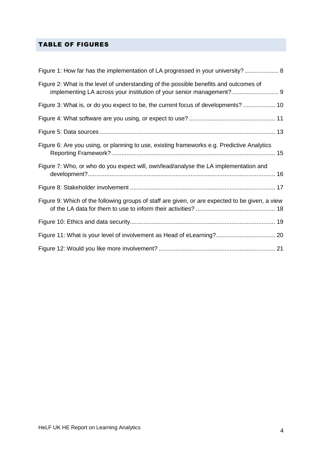# TABLE OF FIGURES

| Figure 1: How far has the implementation of LA progressed in your university?  8                                                                              |
|---------------------------------------------------------------------------------------------------------------------------------------------------------------|
| Figure 2: What is the level of understanding of the possible benefits and outcomes of<br>implementing LA across your institution of your senior management? 9 |
| Figure 3: What is, or do you expect to be, the current focus of developments?  10                                                                             |
|                                                                                                                                                               |
|                                                                                                                                                               |
| Figure 6: Are you using, or planning to use, existing frameworks e.g. Predictive Analytics                                                                    |
| Figure 7: Who, or who do you expect will, own/lead/analyse the LA implementation and                                                                          |
|                                                                                                                                                               |
| Figure 9: Which of the following groups of staff are given, or are expected to be given, a view                                                               |
|                                                                                                                                                               |
|                                                                                                                                                               |
|                                                                                                                                                               |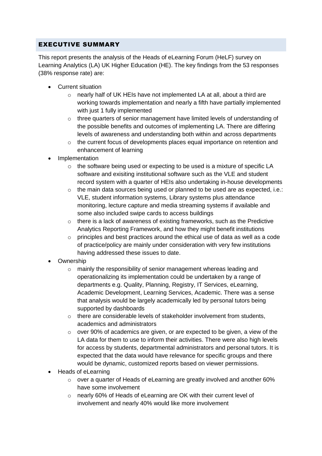# EXECUTIVE SUMMARY

This report presents the analysis of the Heads of eLearning Forum (HeLF) survey on Learning Analytics (LA) UK Higher Education (HE). The key findings from the 53 responses (38% response rate) are:

- Current situation
	- o nearly half of UK HEIs have not implemented LA at all, about a third are working towards implementation and nearly a fifth have partially implemented with just 1 fully implemented
	- $\circ$  three quarters of senior management have limited levels of understanding of the possible benefits and outcomes of implementing LA. There are differing levels of awareness and understanding both within and across departments
	- o the current focus of developments places equal importance on retention and enhancement of learning
- Implementation
	- o the software being used or expecting to be used is a mixture of specific LA software and exisiting institutional software such as the VLE and student record system with a quarter of HEIs also undertaking in-house developments
	- $\circ$  the main data sources being used or planned to be used are as expected, i.e.: VLE, student information systems, Library systems plus attendance monitoring, lecture capture and media streaming systems if available and some also included swipe cards to access buildings
	- $\circ$  there is a lack of awareness of existing frameworks, such as the Predictive Analytics Reporting Framework, and how they might benefit institutions
	- $\circ$  principles and best practices around the ethical use of data as well as a code of practice/policy are mainly under consideration with very few institutions having addressed these issues to date.
- Ownership
	- o mainly the responsibility of senior management whereas leading and operationalizing its implementation could be undertaken by a range of departments e.g. Quality, Planning, Registry, IT Services, eLearning, Academic Development, Learning Services, Academic. There was a sense that analysis would be largely academically led by personal tutors being supported by dashboards
	- o there are considerable levels of stakeholder involvement from students, academics and administrators
	- $\circ$  over 90% of academics are given, or are expected to be given, a view of the LA data for them to use to inform their activities. There were also high levels for access by students, departmental administrators and personal tutors. It is expected that the data would have relevance for specific groups and there would be dynamic, customized reports based on viewer permissions.
- Heads of eLearning
	- $\circ$  over a quarter of Heads of eLearning are greatly involved and another 60% have some involvement
	- o nearly 60% of Heads of eLearning are OK with their current level of involvement and nearly 40% would like more involvement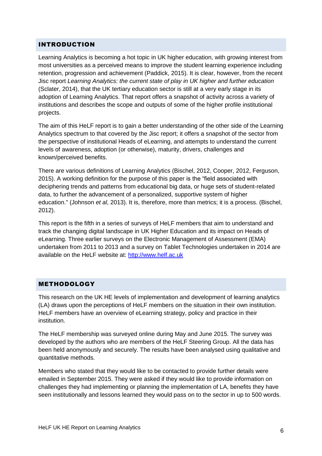#### INTRODUCTION

Learning Analytics is becoming a hot topic in UK higher education, with growing interest from most universities as a perceived means to improve the student learning experience including retention, progression and achievement (Paddick, 2015). It is clear, however, from the recent Jisc report *Learning Analytics: the current state of play in UK higher and further education* (Sclater, 2014), that the UK tertiary education sector is still at a very early stage in its adoption of Learning Analytics. That report offers a snapshot of activity across a variety of institutions and describes the scope and outputs of some of the higher profile institutional projects.

The aim of this HeLF report is to gain a better understanding of the other side of the Learning Analytics spectrum to that covered by the Jisc report; it offers a snapshot of the sector from the perspective of institutional Heads of eLearning, and attempts to understand the current levels of awareness, adoption (or otherwise), maturity, drivers, challenges and known/perceived benefits.

There are various definitions of Learning Analytics (Bischel, 2012, Cooper, 2012, Ferguson, 2015). A working definition for the purpose of this paper is the "field associated with deciphering trends and patterns from educational big data, or huge sets of student-related data, to further the advancement of a personalized, supportive system of higher education." (Johnson *et al*, 2013). It is, therefore, more than metrics; it is a process. (Bischel, 2012).

This report is the fifth in a series of surveys of HeLF members that aim to understand and track the changing digital landscape in UK Higher Education and its impact on Heads of eLearning. Three earlier surveys on the Electronic Management of Assessment (EMA) undertaken from 2011 to 2013 and a survey on Tablet Technologies undertaken in 2014 are available on the HeLF website at: [http://www.helf.ac.uk](http://www.helf.ac.uk/)

#### **METHODOLOGY**

This research on the UK HE levels of implementation and development of learning analytics (LA) draws upon the perceptions of HeLF members on the situation in their own institution. HeLF members have an overview of eLearning strategy, policy and practice in their institution.

The HeLF membership was surveyed online during May and June 2015. The survey was developed by the authors who are members of the HeLF Steering Group. All the data has been held anonymously and securely. The results have been analysed using qualitative and quantitative methods.

Members who stated that they would like to be contacted to provide further details were emailed in September 2015. They were asked if they would like to provide information on challenges they had implementing or planning the implementation of LA, benefits they have seen institutionally and lessons learned they would pass on to the sector in up to 500 words.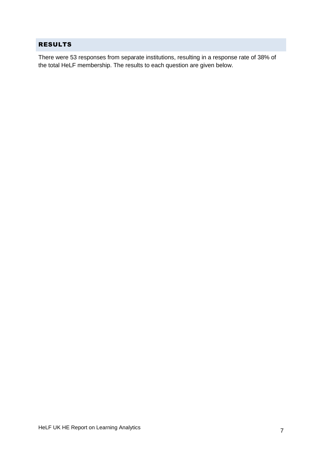# RESULTS

There were 53 responses from separate institutions, resulting in a response rate of 38% of the total HeLF membership. The results to each question are given below.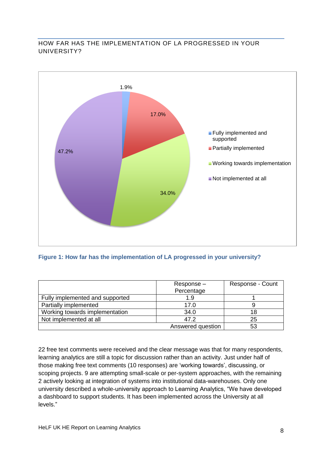#### HOW FAR HAS THE IMPLEMENTATION OF LA PROGRESSED IN YOUR UNIVERSITY?



#### **Figure 1: How far has the implementation of LA progressed in your university?**

|                                 | Response-         | Response - Count |
|---------------------------------|-------------------|------------------|
|                                 | Percentage        |                  |
| Fully implemented and supported | 1.9               |                  |
| Partially implemented           | 17.0              |                  |
| Working towards implementation  | 34.0              |                  |
| Not implemented at all          | 47.2              | 25               |
|                                 | Answered question |                  |

22 free text comments were received and the clear message was that for many respondents, learning analytics are still a topic for discussion rather than an activity. Just under half of those making free text comments (10 responses) are 'working towards', discussing, or scoping projects. 9 are attempting small-scale or per-system approaches, with the remaining 2 actively looking at integration of systems into institutional data-warehouses. Only one university described a whole-university approach to Learning Analytics, "We have developed a dashboard to support students. It has been implemented across the University at all levels."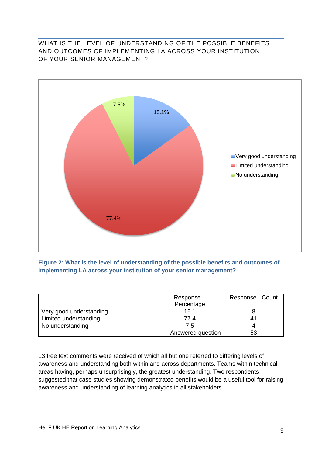#### WHAT IS THE LEVEL OF UNDERSTANDING OF THE POSSIBLE BENEFITS AND OUTCOMES OF IMPLEMENTING LA ACROSS YOUR INSTITUTION OF YOUR SENIOR MANAGEMENT?



**Figure 2: What is the level of understanding of the possible benefits and outcomes of implementing LA across your institution of your senior management?**

|                         | Response-<br>Percentage | Response - Count |
|-------------------------|-------------------------|------------------|
| Very good understanding | 15.1                    |                  |
| Limited understanding   | 77.4                    |                  |
| No understanding        | 7.5                     |                  |
|                         | Answered question       |                  |

13 free text comments were received of which all but one referred to differing levels of awareness and understanding both within and across departments. Teams within technical areas having, perhaps unsurprisingly, the greatest understanding. Two respondents suggested that case studies showing demonstrated benefits would be a useful tool for raising awareness and understanding of learning analytics in all stakeholders.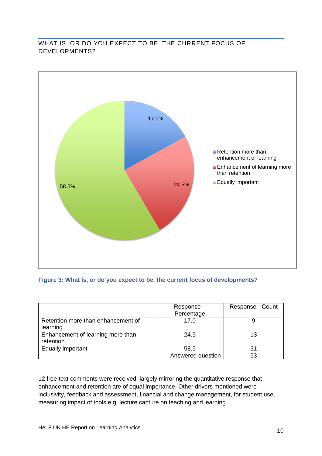# WHAT IS, OR DO YOU EXPECT TO BE, THE CURRENT FOCUS OF DEVELOPMENTS?



#### **Figure 3: What is, or do you expect to be, the current focus of developments?**

|                                    | Response-<br>Percentage | Response - Count |
|------------------------------------|-------------------------|------------------|
| Retention more than enhancement of | 17.0                    |                  |
| learning                           |                         |                  |
| Enhancement of learning more than  | 24.5                    | 13               |
| retention                          |                         |                  |
| Equally important                  | 58.5                    |                  |
|                                    | Answered question       | 53               |

12 free-text comments were received, largely mirroring the quantitative response that enhancement and retention are of equal importance. Other drivers mentioned were inclusivity, feedback and assessment, financial and change management, for student use, measuring impact of tools e.g. lecture capture on teaching and learning.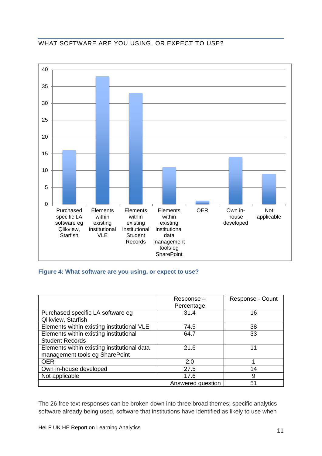# WHAT SOFTWARE ARE YOU USING, OR EXPECT TO USE?



#### **Figure 4: What software are you using, or expect to use?**

|                                                         | Response-<br>Percentage | Response - Count |
|---------------------------------------------------------|-------------------------|------------------|
| Purchased specific LA software eg<br>Qlikview, Starfish | 31.4                    | 16               |
| Elements within existing institutional VLE              | 74.5                    | 38               |
| Elements within existing institutional                  | 64.7                    | 33               |
| <b>Student Records</b>                                  |                         |                  |
| Elements within existing institutional data             | 21.6                    | 11               |
| management tools eg SharePoint                          |                         |                  |
| <b>OER</b>                                              | 2.0                     |                  |
| Own in-house developed                                  | 27.5                    | 14               |
| Not applicable                                          | 17.6                    | 9                |
|                                                         | Answered question       | 51               |

The 26 free text responses can be broken down into three broad themes; specific analytics software already being used, software that institutions have identified as likely to use when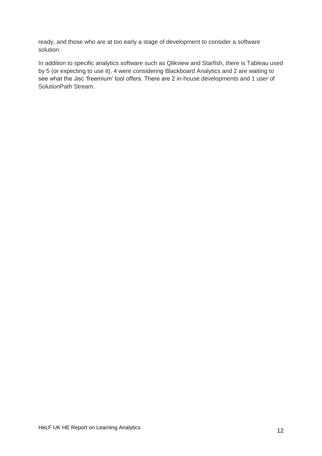ready, and those who are at too early a stage of development to consider a software solution.

In addition to specific analytics software such as Qlikview and Starfish, there is Tableau used by 5 (or expecting to use it), 4 were considering Blackboard Analytics and 2 are waiting to see what the Jisc 'freemium' tool offers. There are 2 in-house developments and 1 user of SolutionPath Stream.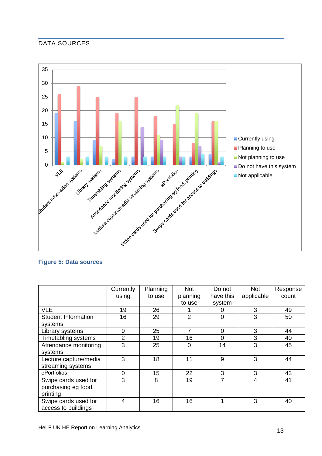# DATA SOURCES



#### **Figure 5: Data sources**

|                            | Currently      | Planning | <b>Not</b>     | Do not    | <b>Not</b> | Response |
|----------------------------|----------------|----------|----------------|-----------|------------|----------|
|                            | using          | to use   | planning       | have this | applicable | count    |
|                            |                |          | to use         | system    |            |          |
| <b>VLE</b>                 | 19             | 26       |                |           | 3          | 49       |
| <b>Student Information</b> | 16             | 29       | $\overline{2}$ | $\Omega$  | 3          | 50       |
| systems                    |                |          |                |           |            |          |
| Library systems            | 9              | 25       | 7              | 0         | 3          | 44       |
| Timetabling systems        | $\overline{2}$ | 19       | 16             | 0         | 3          | 40       |
| Attendance monitoring      | 3              | 25       | 0              | 14        | 3          | 45       |
| systems                    |                |          |                |           |            |          |
| Lecture capture/media      | 3              | 18       | 11             | 9         | 3          | 44       |
| streaming systems          |                |          |                |           |            |          |
| ePortfolios                | 0              | 15       | 22             | 3         | 3          | 43       |
| Swipe cards used for       | 3              | 8        | 19             | 7         | 4          | 41       |
| purchasing eg food,        |                |          |                |           |            |          |
| printing                   |                |          |                |           |            |          |
| Swipe cards used for       | 4              | 16       | 16             |           | 3          | 40       |
| access to buildings        |                |          |                |           |            |          |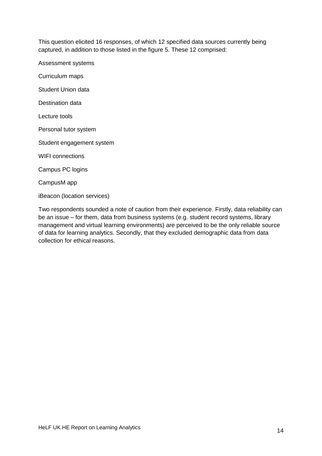This question elicited 16 responses, of which 12 specified data sources currently being captured, in addition to those listed in the figure 5. These 12 comprised:

Assessment systems

Curriculum maps

Student Union data

Destination data

Lecture tools

Personal tutor system

Student engagement system

WIFI connections

Campus PC logins

CampusM app

iBeacon (location services)

Two respondents sounded a note of caution from their experience. Firstly, data reliability can be an issue – for them, data from business systems (e.g. student record systems, library management and virtual learning environments) are perceived to be the only reliable source of data for learning analytics. Secondly, that they excluded demographic data from data collection for ethical reasons.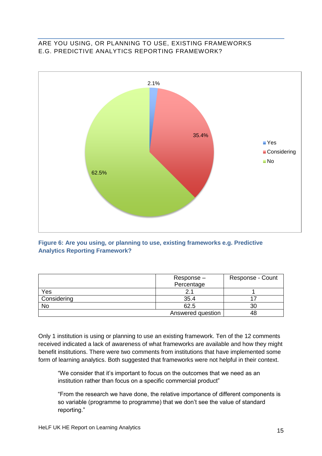#### ARE YOU USING, OR PLANNING TO USE, EXISTING FRAMEWORKS E.G. PREDICTIVE ANALYTICS REPORTING FRAMEWORK?



#### **Figure 6: Are you using, or planning to use, existing frameworks e.g. Predictive Analytics Reporting Framework?**

|             | Response-         | Response - Count |
|-------------|-------------------|------------------|
|             | Percentage        |                  |
| Yes         |                   |                  |
| Considering | 35.4              |                  |
| No          | 62.5              | 30               |
|             | Answered question | 48               |

Only 1 institution is using or planning to use an existing framework. Ten of the 12 comments received indicated a lack of awareness of what frameworks are available and how they might benefit institutions. There were two comments from institutions that have implemented some form of learning analytics. Both suggested that frameworks were not helpful in their context.

"We consider that it's important to focus on the outcomes that we need as an institution rather than focus on a specific commercial product"

"From the research we have done, the relative importance of different components is so variable (programme to programme) that we don't see the value of standard reporting."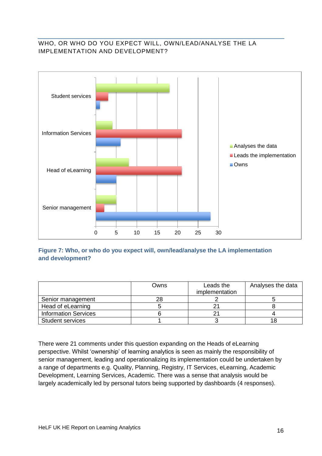# WHO, OR WHO DO YOU EXPECT WILL, OWN/LEAD/ANALYSE THE LA IMPLEMENTATION AND DEVELOPMENT?



**Figure 7: Who, or who do you expect will, own/lead/analyse the LA implementation and development?**

|                             | Owns | Leads the      | Analyses the data |
|-----------------------------|------|----------------|-------------------|
|                             |      | implementation |                   |
| Senior management           | 28   |                |                   |
| Head of eLearning           |      |                |                   |
| <b>Information Services</b> |      |                |                   |
| <b>Student services</b>     |      |                |                   |

There were 21 comments under this question expanding on the Heads of eLearning perspective. Whilst 'ownership' of learning analytics is seen as mainly the responsibility of senior management, leading and operationalizing its implementation could be undertaken by a range of departments e.g. Quality, Planning, Registry, IT Services, eLearning, Academic Development, Learning Services, Academic. There was a sense that analysis would be largely academically led by personal tutors being supported by dashboards (4 responses).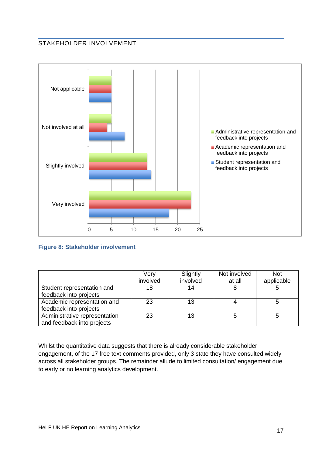#### STAKEHOLDER INVOLVEMENT



#### **Figure 8: Stakeholder involvement**

|                                                             | Very<br>involved | Slightly<br>involved | Not involved<br>at all | <b>Not</b><br>applicable |
|-------------------------------------------------------------|------------------|----------------------|------------------------|--------------------------|
| Student representation and<br>feedback into projects        | 18               | 14                   |                        |                          |
| Academic representation and<br>feedback into projects       | 23               | 13                   |                        |                          |
| Administrative representation<br>and feedback into projects | 23               | 13                   |                        |                          |

Whilst the quantitative data suggests that there is already considerable stakeholder engagement, of the 17 free text comments provided, only 3 state they have consulted widely across all stakeholder groups. The remainder allude to limited consultation/ engagement due to early or no learning analytics development.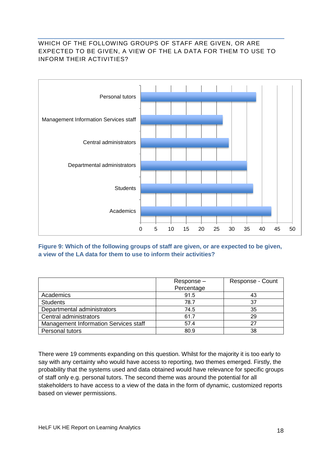# WHICH OF THE FOLLOWING GROUPS OF STAFF ARE GIVEN, OR ARE EXPECTED TO BE GIVEN, A VIEW OF THE LA DATA FOR THEM TO USE TO INFORM THEIR ACTIVITIES?



**Figure 9: Which of the following groups of staff are given, or are expected to be given, a view of the LA data for them to use to inform their activities?** 

|                                       | Response-  | Response - Count |
|---------------------------------------|------------|------------------|
|                                       | Percentage |                  |
| Academics                             | 91.5       | 43               |
| <b>Students</b>                       | 78.7       | 37               |
| Departmental administrators           | 74.5       | 35               |
| Central administrators                | 61.7       | 29               |
| Management Information Services staff | 57.4       | 27               |
| Personal tutors                       | 80.9       | 38               |

There were 19 comments expanding on this question. Whilst for the majority it is too early to say with any certainty who would have access to reporting, two themes emerged. Firstly, the probability that the systems used and data obtained would have relevance for specific groups of staff only e.g. personal tutors. The second theme was around the potential for all stakeholders to have access to a view of the data in the form of dynamic, customized reports based on viewer permissions.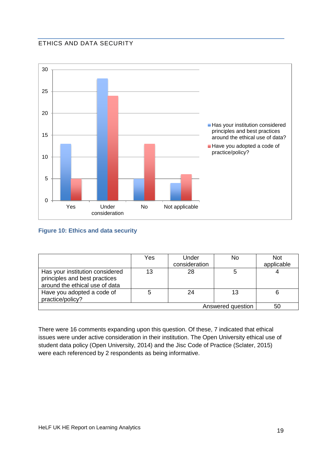# ETHICS AND DATA SECURITY



#### **Figure 10: Ethics and data security**

|                                                                                                    | Yes | Under<br>consideration | No | <b>Not</b><br>applicable |
|----------------------------------------------------------------------------------------------------|-----|------------------------|----|--------------------------|
| Has your institution considered<br>principles and best practices<br>around the ethical use of data | 13  | 28                     |    |                          |
| Have you adopted a code of<br>practice/policy?                                                     |     | 24                     | 13 |                          |
| Answered question<br>50                                                                            |     |                        |    |                          |

There were 16 comments expanding upon this question. Of these, 7 indicated that ethical issues were under active consideration in their institution. The Open University ethical use of student data policy (Open University, 2014) and the Jisc Code of Practice (Sclater, 2015) were each referenced by 2 respondents as being informative.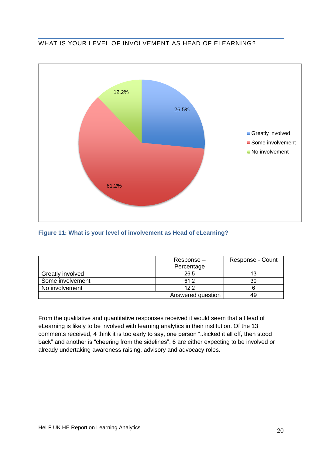# WHAT IS YOUR LEVEL OF INVOLVEMENT AS HEAD OF ELEARNING?



#### **Figure 11: What is your level of involvement as Head of eLearning?**

|                  | Response-<br>Percentage | Response - Count |
|------------------|-------------------------|------------------|
| Greatly involved | 26.5                    |                  |
| Some involvement | 61.2                    | 30               |
| No involvement   | 12.2                    |                  |
|                  | Answered question       |                  |

From the qualitative and quantitative responses received it would seem that a Head of eLearning is likely to be involved with learning analytics in their institution. Of the 13 comments received, 4 think it is too early to say, one person "..kicked it all off, then stood back" and another is "cheering from the sidelines". 6 are either expecting to be involved or already undertaking awareness raising, advisory and advocacy roles.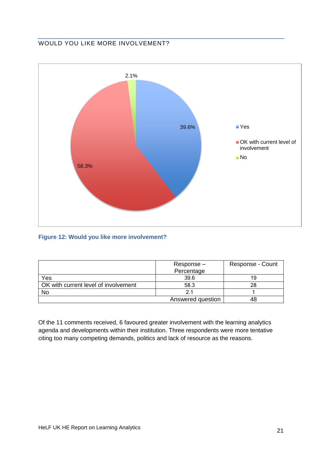# WOULD YOU LIKE MORE INVOLVEMENT?



# **Figure 12: Would you like more involvement?**

|                                      | Response-<br>Percentage | Response - Count |
|--------------------------------------|-------------------------|------------------|
| Yes                                  | 39.6                    | 19               |
| OK with current level of involvement | 58.3                    | 28               |
| No                                   |                         |                  |
|                                      | Answered question       |                  |

Of the 11 comments received, 6 favoured greater involvement with the learning analytics agenda and developments within their institution. Three respondents were more tentative citing too many competing demands, politics and lack of resource as the reasons.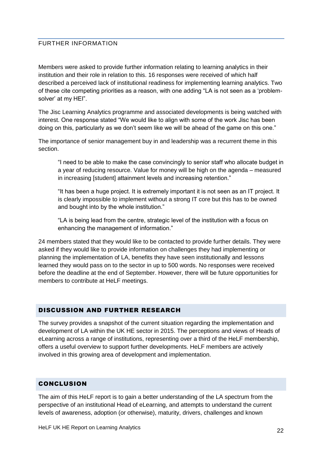#### FURTHER INFORMATION

Members were asked to provide further information relating to learning analytics in their institution and their role in relation to this. 16 responses were received of which half described a perceived lack of institutional readiness for implementing learning analytics. Two of these cite competing priorities as a reason, with one adding "LA is not seen as a 'problemsolver' at my HEI".

The Jisc Learning Analytics programme and associated developments is being watched with interest. One response stated "We would like to align with some of the work Jisc has been doing on this, particularly as we don't seem like we will be ahead of the game on this one."

The importance of senior management buy in and leadership was a recurrent theme in this section.

"I need to be able to make the case convincingly to senior staff who allocate budget in a year of reducing resource. Value for money will be high on the agenda – measured in increasing [student] attainment levels and increasing retention."

"It has been a huge project. It is extremely important it is not seen as an IT project. It is clearly impossible to implement without a strong IT core but this has to be owned and bought into by the whole institution."

"LA is being lead from the centre, strategic level of the institution with a focus on enhancing the management of information."

24 members stated that they would like to be contacted to provide further details. They were asked if they would like to provide information on challenges they had implementing or planning the implementation of LA, benefits they have seen institutionally and lessons learned they would pass on to the sector in up to 500 words. No responses were received before the deadline at the end of September. However, there will be future opportunities for members to contribute at HeLF meetings.

#### DISCUSSION AND FURTHER RESEARCH

The survey provides a snapshot of the current situation regarding the implementation and development of LA within the UK HE sector in 2015. The perceptions and views of Heads of eLearning across a range of institutions, representing over a third of the HeLF membership, offers a useful overview to support further developments. HeLF members are actively involved in this growing area of development and implementation.

#### CONCLUSION

The aim of this HeLF report is to gain a better understanding of the LA spectrum from the perspective of an institutional Head of eLearning, and attempts to understand the current levels of awareness, adoption (or otherwise), maturity, drivers, challenges and known